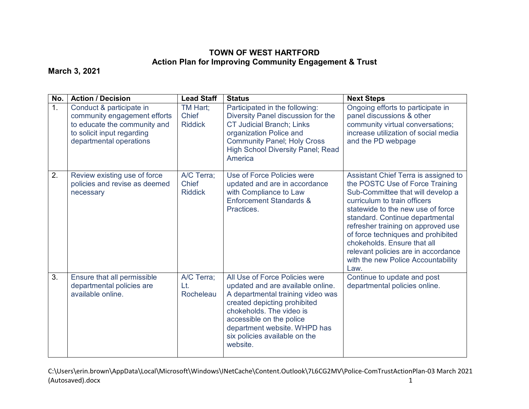## **TOWN OF WEST HARTFORD Action Plan for Improving Community Engagement & Trust**

## **March 3, 2021**

| No.            | <b>Action / Decision</b>                                                                                                                          | <b>Lead Staff</b>                            | <b>Status</b>                                                                                                                                                                                                                                                                 | <b>Next Steps</b>                                                                                                                                                                                                                                                                                                                                                                                                    |
|----------------|---------------------------------------------------------------------------------------------------------------------------------------------------|----------------------------------------------|-------------------------------------------------------------------------------------------------------------------------------------------------------------------------------------------------------------------------------------------------------------------------------|----------------------------------------------------------------------------------------------------------------------------------------------------------------------------------------------------------------------------------------------------------------------------------------------------------------------------------------------------------------------------------------------------------------------|
| 1 <sub>1</sub> | Conduct & participate in<br>community engagement efforts<br>to educate the community and<br>to solicit input regarding<br>departmental operations | TM Hart:<br><b>Chief</b><br><b>Riddick</b>   | Participated in the following:<br>Diversity Panel discussion for the<br><b>CT Judicial Branch; Links</b><br>organization Police and<br><b>Community Panel; Holy Cross</b><br><b>High School Diversity Panel; Read</b><br>America                                              | Ongoing efforts to participate in<br>panel discussions & other<br>community virtual conversations;<br>increase utilization of social media<br>and the PD webpage                                                                                                                                                                                                                                                     |
| 2.             | Review existing use of force<br>policies and revise as deemed<br>necessary                                                                        | A/C Terra;<br><b>Chief</b><br><b>Riddick</b> | Use of Force Policies were<br>updated and are in accordance<br>with Compliance to Law<br><b>Enforcement Standards &amp;</b><br>Practices.                                                                                                                                     | Assistant Chief Terra is assigned to<br>the POSTC Use of Force Training<br>Sub-Committee that will develop a<br>curriculum to train officers<br>statewide to the new use of force<br>standard. Continue departmental<br>refresher training on approved use<br>of force techniques and prohibited<br>chokeholds. Ensure that all<br>relevant policies are in accordance<br>with the new Police Accountability<br>Law. |
| 3.             | Ensure that all permissible<br>departmental policies are<br>available online.                                                                     | A/C Terra;<br>Lt.<br><b>Rocheleau</b>        | All Use of Force Policies were<br>updated and are available online.<br>A departmental training video was<br>created depicting prohibited<br>chokeholds. The video is<br>accessible on the police<br>department website. WHPD has<br>six policies available on the<br>website. | Continue to update and post<br>departmental policies online.                                                                                                                                                                                                                                                                                                                                                         |

C:\Users\erin.brown\AppData\Local\Microsoft\Windows\INetCache\Content.Outlook\7L6CG2MV\Police-ComTrustActionPlan-03 March 2021 (Autosaved).docx 1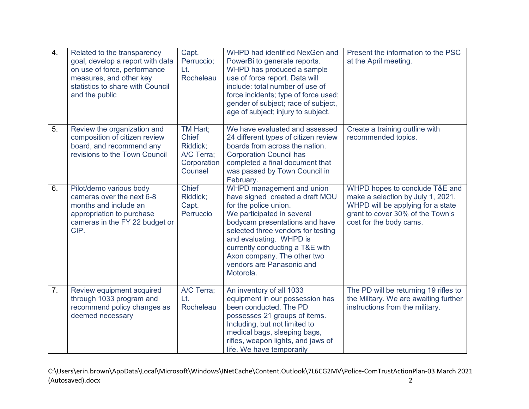| $\overline{4}$ . | Related to the transparency<br>goal, develop a report with data<br>on use of force, performance<br>measures, and other key<br>statistics to share with Council<br>and the public | Capt.<br>Perruccio;<br>Lt.<br>Rocheleau                                      | WHPD had identified NexGen and<br>PowerBi to generate reports.<br>WHPD has produced a sample<br>use of force report. Data will<br>include: total number of use of<br>force incidents; type of force used;<br>gender of subject; race of subject,<br>age of subject; injury to subject.                                             | Present the information to the PSC<br>at the April meeting.                                                                                                             |
|------------------|----------------------------------------------------------------------------------------------------------------------------------------------------------------------------------|------------------------------------------------------------------------------|------------------------------------------------------------------------------------------------------------------------------------------------------------------------------------------------------------------------------------------------------------------------------------------------------------------------------------|-------------------------------------------------------------------------------------------------------------------------------------------------------------------------|
| 5.               | Review the organization and<br>composition of citizen review<br>board, and recommend any<br>revisions to the Town Council                                                        | TM Hart;<br><b>Chief</b><br>Riddick;<br>A/C Terra;<br>Corporation<br>Counsel | We have evaluated and assessed<br>24 different types of citizen review<br>boards from across the nation.<br><b>Corporation Council has</b><br>completed a final document that<br>was passed by Town Council in<br>February.                                                                                                        | Create a training outline with<br>recommended topics.                                                                                                                   |
| 6.               | Pilot/demo various body<br>cameras over the next 6-8<br>months and include an<br>appropriation to purchase<br>cameras in the FY 22 budget or<br>CIP.                             | Chief<br>Riddick:<br>Capt.<br>Perruccio                                      | WHPD management and union<br>have signed created a draft MOU<br>for the police union.<br>We participated in several<br>bodycam presentations and have<br>selected three vendors for testing<br>and evaluating. WHPD is<br>currently conducting a T&E with<br>Axon company. The other two<br>vendors are Panasonic and<br>Motorola. | WHPD hopes to conclude T&E and<br>make a selection by July 1, 2021.<br>WHPD will be applying for a state<br>grant to cover 30% of the Town's<br>cost for the body cams. |
| 7.               | Review equipment acquired<br>through 1033 program and<br>recommend policy changes as<br>deemed necessary                                                                         | A/C Terra;<br>Lt.<br>Rocheleau                                               | An inventory of all 1033<br>equipment in our possession has<br>been conducted. The PD<br>possesses 21 groups of items.<br>Including, but not limited to<br>medical bags, sleeping bags,<br>rifles, weapon lights, and jaws of<br>life. We have temporarily                                                                         | The PD will be returning 19 rifles to<br>the Military. We are awaiting further<br>instructions from the military.                                                       |

C:\Users\erin.brown\AppData\Local\Microsoft\Windows\INetCache\Content.Outlook\7L6CG2MV\Police-ComTrustActionPlan-03 March 2021 (Autosaved).docx 2